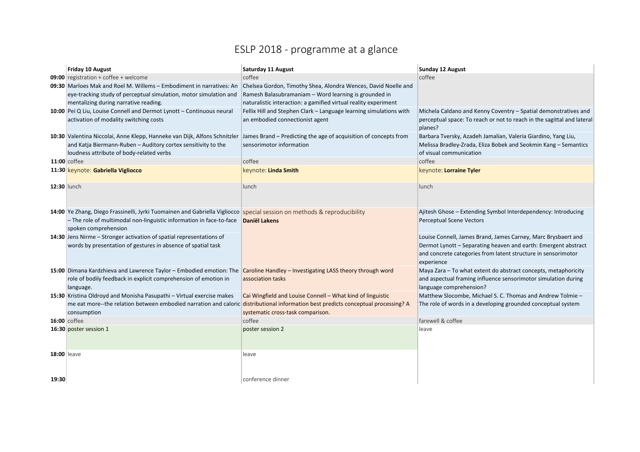## ESLP 2018 - programme at a glance

|                    | Friday 10 August                                                                                                              | <b>Saturday 11 August</b>                                          | <b>Sunday 12 August</b>                                                           |
|--------------------|-------------------------------------------------------------------------------------------------------------------------------|--------------------------------------------------------------------|-----------------------------------------------------------------------------------|
|                    | <b>09:00</b> registration + coffee + welcome                                                                                  | coffee                                                             | coffee                                                                            |
|                    | 09:30 Marloes Mak and Roel M. Willems - Embodiment in narratives: An                                                          | Chelsea Gordon, Timothy Shea, Alondra Wences, David Noelle and     |                                                                                   |
|                    | eye-tracking study of perceptual simulation, motor simulation and                                                             | Ramesh Balasubramaniam - Word learning is grounded in              |                                                                                   |
|                    | mentalizing during narrative reading.                                                                                         | naturalistic interaction: a gamified virtual reality experiment    |                                                                                   |
|                    | 10:00 Pei Q Liu, Louise Connell and Dermot Lynott - Continuous neural                                                         | Fellix Hill and Stephen Clark - Language learning simulations with | Michela Caldano and Kenny Coventry - Spatial demonstratives and                   |
|                    | activation of modality switching costs                                                                                        | an embodied connectionist agent                                    | perceptual space: To reach or not to reach in the sagittal and lateral<br>planes? |
|                    | 10:30 Valentina Niccolai, Anne Klepp, Hanneke van Dijk, Alfons Schnitzler                                                     | James Brand – Predicting the age of acquisition of concepts from   | Barbara Tversky, Azadeh Jamalian, Valeria Giardino, Yang Liu,                     |
|                    | and Katja Biermann-Ruben - Auditory cortex sensitivity to the                                                                 | sensorimotor information                                           | Melissa Bradley-Zrada, Eliza Bobek and Seokmin Kang - Semantics                   |
|                    | loudness attribute of body-related verbs                                                                                      |                                                                    | of visual communication                                                           |
|                    | <b>11:00</b> coffee                                                                                                           | coffee                                                             | coffee                                                                            |
|                    | 11:30 keynote: Gabriella Vigliocco                                                                                            | keynote: Linda Smith                                               | keynote: Lorraine Tyler                                                           |
| 12:30 lunch        |                                                                                                                               | lunch                                                              | lunch                                                                             |
|                    | 14:00 Ye Zhang, Diego Frassinelli, Jyrki Tuomainen and Gabriella Vigliocco special session on methods & reproducibility       |                                                                    | Ajitesh Ghose - Extending Symbol Interdependency: Introducing                     |
|                    | - The role of multimodal non-linguistic information in face-to-face                                                           | <b>Daniël Lakens</b>                                               | <b>Perceptual Scene Vectors</b>                                                   |
|                    | spoken comprehension                                                                                                          |                                                                    |                                                                                   |
|                    | 14:30 Jens Nirme - Stronger activation of spatial representations of                                                          |                                                                    | Louise Connell, James Brand, James Carney, Marc Brysbaert and                     |
|                    | words by presentation of gestures in absence of spatial task                                                                  |                                                                    | Dermot Lynott - Separating heaven and earth: Emergent abstract                    |
|                    |                                                                                                                               |                                                                    | and concrete categories from latent structure in sensorimotor                     |
|                    |                                                                                                                               |                                                                    | experience                                                                        |
|                    | 15:00 Dimana Kardzhieva and Lawrence Taylor - Embodied emotion: The Caroline Handley - Investigating LASS theory through word |                                                                    | Maya Zara - To what extent do abstract concepts, metaphoricity                    |
|                    | role of bodily feedback in explicit comprehension of emotion in                                                               | association tasks                                                  | and aspectual framing influence sensorimotor simulation during                    |
|                    | language.                                                                                                                     |                                                                    | language comprehension?                                                           |
|                    | 15:30 Kristina Oldroyd and Monisha Pasupathi - Virtual exercise makes                                                         | Cai Wingfield and Louise Connell - What kind of linguistic         | Matthew Slocombe, Michael S. C. Thomas and Andrew Tolmie -                        |
|                    | me eat more--the relation between embodied narration and caloric                                                              | distributional information best predicts conceptual processing? A  | The role of words in a developing grounded conceptual system                      |
|                    | consumption                                                                                                                   | systematic cross-task comparison.                                  |                                                                                   |
|                    | <b>16:00</b> coffee                                                                                                           | coffee                                                             | farewell & coffee                                                                 |
|                    | 16:30 poster session 1                                                                                                        | poster session 2                                                   | leave                                                                             |
|                    |                                                                                                                               |                                                                    |                                                                                   |
|                    |                                                                                                                               |                                                                    |                                                                                   |
| <b>18:00 leave</b> |                                                                                                                               | leave                                                              |                                                                                   |
|                    |                                                                                                                               |                                                                    |                                                                                   |
|                    |                                                                                                                               |                                                                    |                                                                                   |
| 19:30              |                                                                                                                               | conference dinner                                                  |                                                                                   |